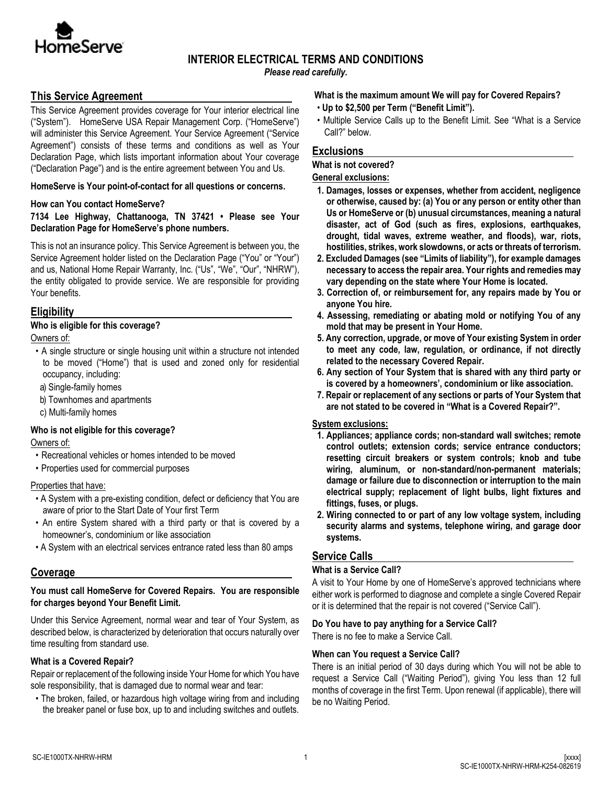

# **INTERIOR ELECTRICAL TERMS AND CONDITIONS**

*Please read carefully.*

# **This Service Agreement**

This Service Agreement provides coverage for Your interior electrical line ("System"). HomeServe USA Repair Management Corp. ("HomeServe") will administer this Service Agreement. Your Service Agreement ("Service Agreement") consists of these terms and conditions as well as Your Declaration Page, which lists important information about Your coverage ("Declaration Page") and is the entire agreement between You and Us.

### **HomeServe is Your point-of-contact for all questions or concerns.**

### **How can You contact HomeServe?**

#### **7134 Lee Highway, Chattanooga, TN 37421 • Please see Your Declaration Page for HomeServe's phone numbers.**

This is not an insurance policy. This Service Agreement is between you, the Service Agreement holder listed on the Declaration Page ("You" or "Your") and us, National Home Repair Warranty, Inc. ("Us", "We", "Our", "NHRW"), the entity obligated to provide service. We are responsible for providing Your benefits.

# **Eligibility**

# **Who is eligible for this coverage?**

Owners of:

- A single structure or single housing unit within a structure not intended to be moved ("Home") that is used and zoned only for residential occupancy, including:
- a) Single-family homes
- b) Townhomes and apartments
- c) Multi-family homes

# **Who is not eligible for this coverage?**

Owners of:

- Recreational vehicles or homes intended to be moved
- Properties used for commercial purposes

# Properties that have:

- A System with a pre-existing condition, defect or deficiency that You are aware of prior to the Start Date of Your first Term
- An entire System shared with a third party or that is covered by a homeowner's, condominium or like association
- A System with an electrical services entrance rated less than 80 amps

# **Coverage**

### **You must call HomeServe for Covered Repairs. You are responsible for charges beyond Your Benefit Limit.**

Under this Service Agreement, normal wear and tear of Your System, as described below, is characterized by deterioration that occurs naturally over time resulting from standard use.

# **What is a Covered Repair?**

Repair or replacement of the following inside Your Home for which You have sole responsibility, that is damaged due to normal wear and tear:

• The broken, failed, or hazardous high voltage wiring from and including the breaker panel or fuse box, up to and including switches and outlets.

### **What is the maximum amount We will pay for Covered Repairs?**

- **Up to \$2,500 per Term ("Benefit Limit").**
- Multiple Service Calls up to the Benefit Limit. See "What is a Service Call?" below.

# **Exclusions**

# **What is not covered?**

#### **General exclusions:**

- **1. Damages, losses or expenses, whether from accident, negligence or otherwise, caused by: (a) You or any person or entity other than Us or HomeServe or (b) unusual circumstances, meaning a natural disaster, act of God (such as fires, explosions, earthquakes, drought, tidal waves, extreme weather, and floods), war, riots, hostilities, strikes, work slowdowns, or acts or threats of terrorism.**
- **2. Excluded Damages (see "Limits of liability"), for example damages necessary to access the repair area. Your rights and remedies may vary depending on the state where Your Home is located.**
- **3. Correction of, or reimbursement for, any repairs made by You or anyone You hire.**
- **4. Assessing, remediating or abating mold or notifying You of any mold that may be present in Your Home.**
- **5. Any correction, upgrade, or move of Your existing System in order to meet any code, law, regulation, or ordinance, if not directly related to the necessary Covered Repair.**
- **6. Any section of Your System that is shared with any third party or is covered by a homeowners', condominium or like association.**
- **7. Repair or replacement of any sections or parts of Your System that are not stated to be covered in "What is a Covered Repair?".**

# **System exclusions:**

- **1. Appliances; appliance cords; non-standard wall switches; remote control outlets; extension cords; service entrance conductors; resetting circuit breakers or system controls; knob and tube wiring, aluminum, or non-standard/non-permanent materials; damage or failure due to disconnection or interruption to the main electrical supply; replacement of light bulbs, light fixtures and fittings, fuses, or plugs.**
- **2. Wiring connected to or part of any low voltage system, including security alarms and systems, telephone wiring, and garage door systems.**

# **Service Calls**

# **What is a Service Call?**

A visit to Your Home by one of HomeServe's approved technicians where either work is performed to diagnose and complete a single Covered Repair or it is determined that the repair is not covered ("Service Call").

# **Do You have to pay anything for a Service Call?**

There is no fee to make a Service Call.

#### **When can You request a Service Call?**

There is an initial period of 30 days during which You will not be able to request a Service Call ("Waiting Period"), giving You less than 12 full months of coverage in the first Term. Upon renewal (if applicable), there will be no Waiting Period.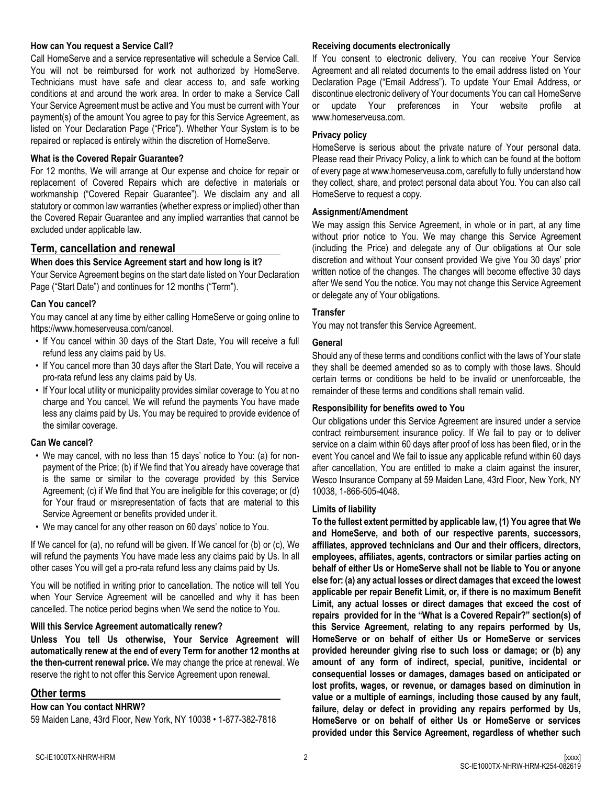#### **How can You request a Service Call?**

Call HomeServe and a service representative will schedule a Service Call. You will not be reimbursed for work not authorized by HomeServe. Technicians must have safe and clear access to, and safe working conditions at and around the work area. In order to make a Service Call Your Service Agreement must be active and You must be current with Your payment(s) of the amount You agree to pay for this Service Agreement, as listed on Your Declaration Page ("Price"). Whether Your System is to be repaired or replaced is entirely within the discretion of HomeServe.

#### **What is the Covered Repair Guarantee?**

For 12 months, We will arrange at Our expense and choice for repair or replacement of Covered Repairs which are defective in materials or workmanship ("Covered Repair Guarantee"). We disclaim any and all statutory or common law warranties (whether express or implied) other than the Covered Repair Guarantee and any implied warranties that cannot be excluded under applicable law.

### **Term, cancellation and renewal**

#### **When does this Service Agreement start and how long is it?**

Your Service Agreement begins on the start date listed on Your Declaration Page ("Start Date") and continues for 12 months ("Term").

#### **Can You cancel?**

You may cancel at any time by either calling HomeServe or going online to https://www.homeserveusa.com/cancel.

- If You cancel within 30 days of the Start Date, You will receive a full refund less any claims paid by Us.
- If You cancel more than 30 days after the Start Date, You will receive a pro-rata refund less any claims paid by Us.
- If Your local utility or municipality provides similar coverage to You at no charge and You cancel, We will refund the payments You have made less any claims paid by Us. You may be required to provide evidence of the similar coverage.

#### **Can We cancel?**

- We may cancel, with no less than 15 days' notice to You: (a) for nonpayment of the Price; (b) if We find that You already have coverage that is the same or similar to the coverage provided by this Service Agreement; (c) if We find that You are ineligible for this coverage; or (d) for Your fraud or misrepresentation of facts that are material to this Service Agreement or benefits provided under it.
- We may cancel for any other reason on 60 days' notice to You.

If We cancel for (a), no refund will be given. If We cancel for (b) or (c), We will refund the payments You have made less any claims paid by Us. In all other cases You will get a pro-rata refund less any claims paid by Us.

You will be notified in writing prior to cancellation. The notice will tell You when Your Service Agreement will be cancelled and why it has been cancelled. The notice period begins when We send the notice to You.

#### **Will this Service Agreement automatically renew?**

**Unless You tell Us otherwise, Your Service Agreement will automatically renew at the end of every Term for another 12 months at the then-current renewal price.** We may change the price at renewal. We reserve the right to not offer this Service Agreement upon renewal.

#### **Other terms**

#### **How can You contact NHRW?**

59 Maiden Lane, 43rd Floor, New York, NY 10038 • 1-877-382-7818

#### **Receiving documents electronically**

If You consent to electronic delivery, You can receive Your Service Agreement and all related documents to the email address listed on Your Declaration Page ("Email Address"). To update Your Email Address, or discontinue electronic delivery of Your documents You can call HomeServe or update Your preferences in Your website profile at www.homeserveusa.com.

#### **Privacy policy**

HomeServe is serious about the private nature of Your personal data. Please read their Privacy Policy, a link to which can be found at the bottom of every page at www.homeserveusa.com, carefully to fully understand how they collect, share, and protect personal data about You. You can also call HomeServe to request a copy.

#### **Assignment/Amendment**

We may assign this Service Agreement, in whole or in part, at any time without prior notice to You. We may change this Service Agreement (including the Price) and delegate any of Our obligations at Our sole discretion and without Your consent provided We give You 30 days' prior written notice of the changes. The changes will become effective 30 days after We send You the notice. You may not change this Service Agreement or delegate any of Your obligations.

#### **Transfer**

You may not transfer this Service Agreement.

#### **General**

Should any of these terms and conditions conflict with the laws of Your state they shall be deemed amended so as to comply with those laws. Should certain terms or conditions be held to be invalid or unenforceable, the remainder of these terms and conditions shall remain valid.

#### **Responsibility for benefits owed to You**

Our obligations under this Service Agreement are insured under a service contract reimbursement insurance policy. If We fail to pay or to deliver service on a claim within 60 days after proof of loss has been filed, or in the event You cancel and We fail to issue any applicable refund within 60 days after cancellation, You are entitled to make a claim against the insurer, Wesco Insurance Company at 59 Maiden Lane, 43rd Floor, New York, NY 10038, 1-866-505-4048.

#### **Limits of liability**

**To the fullest extent permitted by applicable law, (1) You agree that We and HomeServe, and both of our respective parents, successors, affiliates, approved technicians and Our and their officers, directors, employees, affiliates, agents, contractors or similar parties acting on behalf of either Us or HomeServe shall not be liable to You or anyone else for: (a) any actual losses or direct damages that exceed the lowest applicable per repair Benefit Limit, or, if there is no maximum Benefit Limit, any actual losses or direct damages that exceed the cost of repairs provided for in the "What is a Covered Repair?" section(s) of this Service Agreement, relating to any repairs performed by Us, HomeServe or on behalf of either Us or HomeServe or services provided hereunder giving rise to such loss or damage; or (b) any amount of any form of indirect, special, punitive, incidental or consequential losses or damages, damages based on anticipated or lost profits, wages, or revenue, or damages based on diminution in value or a multiple of earnings, including those caused by any fault, failure, delay or defect in providing any repairs performed by Us, HomeServe or on behalf of either Us or HomeServe or services provided under this Service Agreement, regardless of whether such**